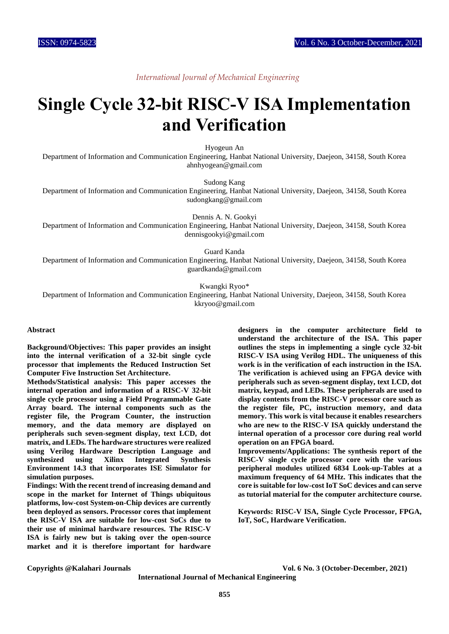# *International Journal of Mechanical Engineering*

# **Single Cycle 32-bit RISC-V ISA Implementation and Verification**

Hyogeun An

Department of Information and Communication Engineering, Hanbat National University, Daejeon, 34158, South Korea ahnhyogean@gmail.com

Sudong Kang

Department of Information and Communication Engineering, Hanbat National University, Daejeon, 34158, South Korea sudongkang@gmail.com

Dennis A. N. Gookyi

Department of Information and Communication Engineering, Hanbat National University, Daejeon, 34158, South Korea dennisgookyi@gmail.com

Guard Kanda

Department of Information and Communication Engineering, Hanbat National University, Daejeon, 34158, South Korea guardkanda@gmail.com

Kwangki Ryoo\*

Department of Information and Communication Engineering, Hanbat National University, Daejeon, 34158, South Korea kkryoo@gmail.com

#### **Abstract**

**Background/Objectives: This paper provides an insight into the internal verification of a 32-bit single cycle processor that implements the Reduced Instruction Set Computer Five Instruction Set Architecture.**

**Methods/Statistical analysis: This paper accesses the internal operation and information of a RISC-V 32-bit single cycle processor using a Field Programmable Gate Array board. The internal components such as the register file, the Program Counter, the instruction memory, and the data memory are displayed on peripherals such seven-segment display, text LCD, dot matrix, and LEDs. The hardware structures were realized using Verilog Hardware Description Language and synthesized using Xilinx Integrated Synthesis Environment 14.3 that incorporates ISE Simulator for simulation purposes.**

**Findings: With the recent trend of increasing demand and scope in the market for Internet of Things ubiquitous platforms, low-cost System-on-Chip devices are currently been deployed as sensors. Processor cores that implement the RISC-V ISA are suitable for low-cost SoCs due to their use of minimal hardware resources. The RISC-V ISA is fairly new but is taking over the open-source market and it is therefore important for hardware** 

**designers in the computer architecture field to understand the architecture of the ISA. This paper outlines the steps in implementing a single cycle 32-bit RISC-V ISA using Verilog HDL. The uniqueness of this work is in the verification of each instruction in the ISA. The verification is achieved using an FPGA device with peripherals such as seven-segment display, text LCD, dot matrix, keypad, and LEDs. These peripherals are used to display contents from the RISC-V processor core such as the register file, PC, instruction memory, and data memory. This work is vital because it enables researchers who are new to the RISC-V ISA quickly understand the internal operation of a processor core during real world operation on an FPGA board.**

**Improvements/Applications: The synthesis report of the RISC-V single cycle processor core with the various peripheral modules utilized 6834 Look-up-Tables at a maximum frequency of 64 MHz. This indicates that the core is suitable for low-cost IoT SoC devices and can serve as tutorial material for the computer architecture course.**

**Keywords: RISC-V ISA, Single Cycle Processor, FPGA, IoT, SoC, Hardware Verification.**

**Copyrights @Kalahari Journals Vol. 6 No. 3 (October-December, 2021)**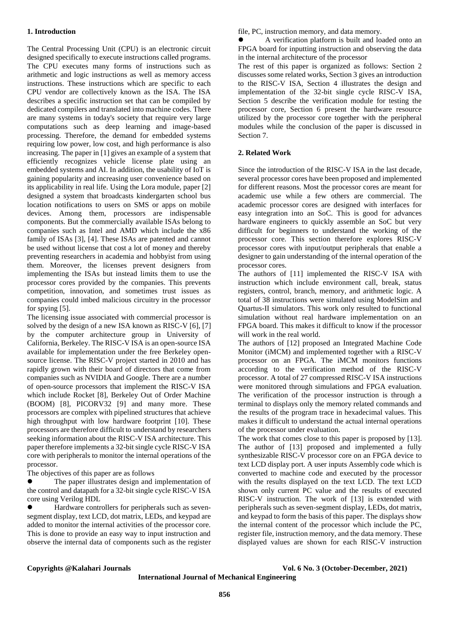### **1. Introduction**

The Central Processing Unit (CPU) is an electronic circuit designed specifically to execute instructions called programs. The CPU executes many forms of instructions such as arithmetic and logic instructions as well as memory access instructions. These instructions which are specific to each CPU vendor are collectively known as the ISA. The ISA describes a specific instruction set that can be compiled by dedicated compilers and translated into machine codes. There are many systems in today's society that require very large computations such as deep learning and image-based processing. Therefore, the demand for embedded systems requiring low power, low cost, and high performance is also increasing. The paper in [1] gives an example of a system that efficiently recognizes vehicle license plate using an embedded systems and AI. In addition, the usability of IoT is gaining popularity and increasing user convenience based on its applicability in real life. Using the Lora module, paper [2] designed a system that broadcasts kindergarten school bus location notifications to users on SMS or apps on mobile devices. Among them, processors are indispensable components. But the commercially available ISAs belong to companies such as Intel and AMD which include the x86 family of ISAs [3], [4]. These ISAs are patented and cannot be used without license that cost a lot of money and thereby preventing researchers in academia and hobbyist from using them. Moreover, the licenses prevent designers from implementing the ISAs but instead limits them to use the processor cores provided by the companies. This prevents competition, innovation, and sometimes trust issues as companies could imbed malicious circuitry in the processor for spying [5].

The licensing issue associated with commercial processor is solved by the design of a new ISA known as RISC-V [6], [7] by the computer architecture group in University of California, Berkeley. The RISC-V ISA is an open-source ISA available for implementation under the free Berkeley opensource license. The RISC-V project started in 2010 and has rapidly grown with their board of directors that come from companies such as NVIDIA and Google. There are a number of open-source processors that implement the RISC-V ISA which include Rocket [8], Berkeley Out of Order Machine (BOOM) [8], PICORV32 [9] and many more. These processors are complex with pipelined structures that achieve high throughput with low hardware footprint [10]. These processors are therefore difficult to understand by researchers seeking information about the RISC-V ISA architecture. This paper therefore implements a 32-bit single cycle RISC-V ISA core with peripherals to monitor the internal operations of the processor.

The objectives of this paper are as follows

 The paper illustrates design and implementation of the control and datapath for a 32-bit single cycle RISC-V ISA core using Verilog HDL

 Hardware controllers for peripherals such as sevensegment display, text LCD, dot matrix, LEDs, and keypad are added to monitor the internal activities of the processor core. This is done to provide an easy way to input instruction and observe the internal data of components such as the register file, PC, instruction memory, and data memory.

 A verification platform is built and loaded onto an FPGA board for inputting instruction and observing the data in the internal architecture of the processor

The rest of this paper is organized as follows: Section 2 discusses some related works, Section 3 gives an introduction to the RISC-V ISA, Section 4 illustrates the design and implementation of the 32-bit single cycle RISC-V ISA, Section 5 describe the verification module for testing the processor core, Section 6 present the hardware resource utilized by the processor core together with the peripheral modules while the conclusion of the paper is discussed in Section 7.

### **2. Related Work**

Since the introduction of the RISC-V ISA in the last decade, several processor cores have been proposed and implemented for different reasons. Most the processor cores are meant for academic use while a few others are commercial. The academic processor cores are designed with interfaces for easy integration into an SoC. This is good for advances hardware engineers to quickly assemble an SoC but very difficult for beginners to understand the working of the processor core. This section therefore explores RISC-V processor cores with input/output peripherals that enable a designer to gain understanding of the internal operation of the processor cores.

The authors of [11] implemented the RISC-V ISA with instruction which include environment call, break, status registers, control, branch, memory, and arithmetic logic. A total of 38 instructions were simulated using ModelSim and Quartus-II simulators. This work only resulted to functional simulation without real hardware implementation on an FPGA board. This makes it difficult to know if the processor will work in the real world.

The authors of [12] proposed an Integrated Machine Code Monitor (iMCM) and implemented together with a RISC-V processor on an FPGA. The iMCM monitors functions according to the verification method of the RISC-V processor. A total of 27 compressed RISC-V ISA instructions were monitored through simulations and FPGA evaluation. The verification of the processor instruction is through a terminal to displays only the memory related commands and the results of the program trace in hexadecimal values. This makes it difficult to understand the actual internal operations of the processor under evaluation.

The work that comes close to this paper is proposed by [13]. The author of [13] proposed and implemented a fully synthesizable RISC-V processor core on an FPGA device to text LCD display port. A user inputs Assembly code which is converted to machine code and executed by the processor with the results displayed on the text LCD. The text LCD shown only current PC value and the results of executed RISC-V instruction. The work of [13] is extended with peripherals such as seven-segment display, LEDs, dot matrix, and keypad to form the basis of this paper. The displays show the internal content of the processor which include the PC, register file, instruction memory, and the data memory. These displayed values are shown for each RISC-V instruction

**Copyrights @Kalahari Journals Vol. 6 No. 3 (October-December, 2021)**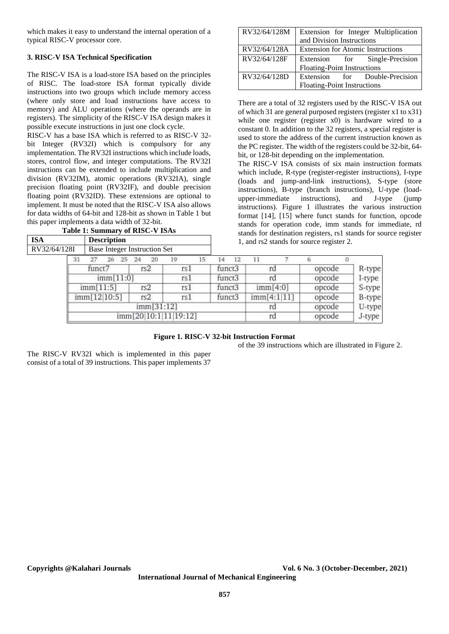which makes it easy to understand the internal operation of a typical RISC-V processor core.

# **3. RISC-V ISA Technical Specification**

The RISC-V ISA is a load-store ISA based on the principles of RISC. The load-store ISA format typically divide instructions into two groups which include memory access (where only store and load instructions have access to memory) and ALU operations (where the operands are in registers). The simplicity of the RISC-V ISA design makes it possible execute instructions in just one clock cycle.

RISC-V has a base ISA which is referred to as RISC-V 32 bit Integer (RV32I) which is compulsory for any implementation. The RV32I instructions which include loads, stores, control flow, and integer computations. The RV32I instructions can be extended to include multiplication and division (RV32IM), atomic operations (RV32IA), single precision floating point (RV32IF), and double precision floating point (RV32ID). These extensions are optional to implement. It must be noted that the RISC-V ISA also allows for data widths of 64-bit and 128-bit as shown in Table 1 but this paper implements a data width of 32-bit.

|     | Table 1: Summary of RISC-V ISAs |
|-----|---------------------------------|
| ISA | <b>Description</b>              |
|     |                                 |

| RV32/64/128M | Extension for Integer Multiplication     |  |  |  |  |  |  |
|--------------|------------------------------------------|--|--|--|--|--|--|
|              | and Division Instructions                |  |  |  |  |  |  |
| RV32/64/128A | <b>Extension for Atomic Instructions</b> |  |  |  |  |  |  |
| RV32/64/128F | Extension for Single-Precision           |  |  |  |  |  |  |
|              | <b>Floating-Point Instructions</b>       |  |  |  |  |  |  |
| RV32/64/128D | Extension for Double-Precision           |  |  |  |  |  |  |
|              | Floating-Point Instructions              |  |  |  |  |  |  |

There are a total of 32 registers used by the RISC-V ISA out of which 31 are general purposed registers (register x1 to x31) while one register (register x0) is hardware wired to a constant 0. In addition to the 32 registers, a special register is used to store the address of the current instruction known as the PC register. The width of the registers could be 32-bit, 64 bit, or 128-bit depending on the implementation.

The RISC-V ISA consists of six main instruction formats which include, R-type (register-register instructions), I-type (loads and jump-and-link instructions), S-type (store instructions), B-type (branch instructions), U-type (loadupper-immediate instructions), and J-type (jump instructions). Figure 1 illustrates the various instruction format [14], [15] where funct stands for function, opcode stands for operation code, imm stands for immediate, rd stands for destination registers, rs1 stands for source register 1, and rs2 stands for source register 2.

| $25 -$                | $-24$<br>20 |     |      |        |              |        |          |                         |        |
|-----------------------|-------------|-----|------|--------|--------------|--------|----------|-------------------------|--------|
|                       |             | 19  |      | 14     | 12           |        |          |                         |        |
| funct7                |             | rs1 |      |        | funct3<br>rd |        |          | opcode                  | R-type |
| imm[11:0]             |             |     | rs 1 |        | funct3       | ra     |          | opcode                  | I-type |
| imm[11:5]             | rs2         | rs1 |      | funct3 |              |        | imm[4:0] | opcode                  | S-type |
| imm[12 10:5]          | rs2         |     |      |        |              |        |          | opcode                  | B-type |
| imm[31:12]            |             |     |      |        |              |        |          | opcode                  | U-type |
| imm[20]10:1 11 19:12] |             |     |      |        |              |        |          | opcode                  | J-type |
|                       |             |     |      | rs1    |              | funct3 |          | imm[4:1 11]<br>rd<br>rd |        |

# **Figure 1. RISC-V 32-bit Instruction Format**

of the 39 instructions which are illustrated in Figure 2.

The RISC-V RV32I which is implemented in this paper consist of a total of 39 instructions. This paper implements 37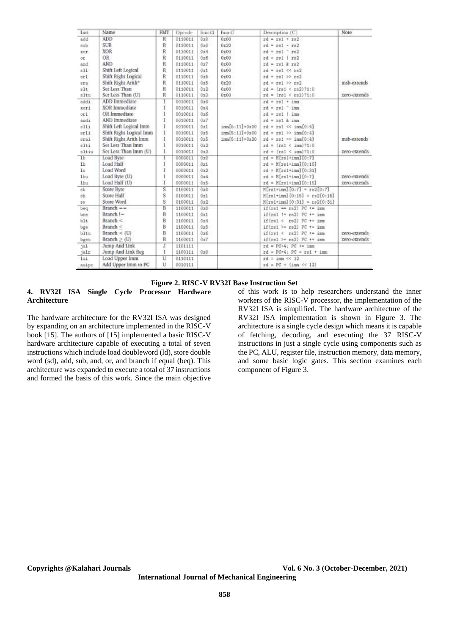| Inst           | Name                    | FMT            | Opcode  | funct3 | funct7             | Description (C)                          | Note:        |
|----------------|-------------------------|----------------|---------|--------|--------------------|------------------------------------------|--------------|
| add            | <b>ADD</b>              | Ŕ              | 0110011 | 0x0    | 0x00               | $rd = rs1 + rs2$                         |              |
| dus            | <b>SUB</b>              | R              | 0110011 | 0x0    | 0x20               | $rd = rs1 - rs2$                         |              |
| xor.           | <b>XOR</b>              | R              | 0110011 | 0x4    | 0x00               | $rd = rs1$ $rs2$                         |              |
| oτ             | OR:                     | $_{\rm R}$     | 0110011 | 0x6    | 0x00               | $rd = rs1$   $rs2$                       |              |
| and            | AND                     | R              | 0110011 | 0x7    | 0x00               | $rd = rs1$ & $rs2$                       |              |
| sll            | Shift Left Logical      | R              | 0110011 | Ori    | 0x00               | $rd = rel \ll rel$                       |              |
| $n+1$          | Shift Right Logical     | R              | 0110011 | 0x5    | 0x00               | $rd = rs1$ >> $rs2$                      |              |
| sra            | Shift Right Arith*      | R              | 0110011 | 0x5    | 0x20               | $rd = rel \gg rel$                       | msb-extends  |
| 811            | Set Less Than           | R              | 0110011 | 0x2    | 0x00               | $rd = (rel < r=2)$ ?1:0                  |              |
| sltu           | Set Less Than (U)       | R              | 0110011 | 0x3    | 0x00               | $rd = (rs1 < rs2)$ ?1:0                  | zero-extends |
| addi           | ADD Immediate           |                | 0010011 | 0x0    |                    | $rd = rs1 + imn$                         |              |
| xori           | XOR Immediate           | ĭ              | 0010011 | 0x4    |                    | $rd = rel$ $imn$                         |              |
| ori            | OR Immediate            |                | 0010011 | 0x6    |                    | $rd = rel$   imm                         |              |
| andi           | AND Immediate           | Ĩ              | 0010011 | 0x7    |                    | rd = re1 k imm                           |              |
| n11i           | Shift Left Logical Imm  | I              | 0010011 | Oxi    | imm[5:11]=0x00     | $rd = rs1 \ll im[0:4]$                   |              |
| srli           | Shift Right Logical Imm | I              | 0010011 | 0x5    | $imm[5:11] = 0x00$ | $rd = rel \gg im[0:4]$                   |              |
| srai           | Shift Right Arith Imm   | Ł              | 0010011 | 0x5    | imm[5:11]=0x20     | $rd = rs1 \gg im[0:4]$                   | msb-extends  |
| 6351           | Set Less Than Imm       | ĩ              | 0010011 | 0x2    |                    | $rd = (rdt \in imn)$ ?1:0                |              |
| sltiu          | Set Less Than Imm (U)   | Ł              | 0010011 | 0x3    |                    | $rd = (rd1 < inm)$ ?1:0                  | zero-extends |
| 1 <sub>b</sub> | Load Byte               | Ī              | 0000011 | 0x0    |                    | $rd = K[rs1*imn][0:7]$                   |              |
| 1h             | Load Half               | ŧ              | 0000011 | 0x1    |                    | $rd = M(rs1+imn][0:15]$                  |              |
| 1u             | Load Word               | Ī              | 0000011 | 0x2    |                    | $rd = M[rs1+imn][0:31]$                  |              |
| 1bu            | Load Byte (U)           | Î              | 0000011 | 0x4    |                    | $rd = M[rs1+imn][0:7]$                   | zero-extends |
| 1hu            | Load Half (U)           | ī              | 0000011 | Ox6    |                    | $rd = K[rd+imn][0:15]$                   | zero-extends |
| 83             | Store Byte              | $\overline{s}$ | 0100011 | 0x0    |                    | $M[ral+im][0:7] = rs2[0:7]$              |              |
| 8h             | Store Half              | s              | 0100011 | 0x1    |                    | $M$ [rs1+inm][0:15] = $r$ s2[0:15]       |              |
| sü             | Store Word              | $\overline{s}$ | 0100011 | 0x2    |                    | $M[rs1+im1[0:31] = rs2[0:31]$            |              |
| beg            | $Branch = -$            | Ē              | 1100011 | 0x0    |                    | $if (rel \leftarrow re2)$ PC += imm      |              |
| bne.           | Branch !-               | B              | 1100011 | 0x1    |                    | $if(rs1 != rs2) PC += im$                |              |
| blt            | Branch $<$              | B              | 1100011 | 0x4    |                    | $if (rs1 < rs2) PC += sm$                |              |
| bge            | Branch $<$              | B              | 1100011 | 0x5    |                    | $if (rs1) \approx rs2)$ PC $\approx$ inm |              |
| bltu           | Branch < $(U)$          | B              | 1100011 | 0x6    |                    | $if (rs1 < rs2) PC += im$                | zero-extends |
| bgeu           | Branch $\geq$ (U)       | B              | 1100011 | 0x7    |                    | $if (rs1 > r2) PC += imn$                | zero-extends |
| jal            | Jump And Link           | I              | 1101111 |        |                    | $rd = PC+4$ ; $PC + = 1nm$               |              |
| jair           | Jump And Link Reg       | Ŧ              | 1100111 | 0x0    |                    | $rd = PC*4$ ; $PC = rel + imm$           |              |
| 1ui            | Load Upper Imm          | π              | 0110111 |        |                    | $rd = 1nm \ll 12$                        |              |
| auipc          | Add Upper Imm to PC     | Ü              | 0010111 |        |                    | $rd = PC + (ima \ll 12)$                 |              |

#### **Figure 2. RISC-V RV32I Base Instruction Set**

**4. RV32I ISA Single Cycle Processor Hardware Architecture**

The hardware architecture for the RV32I ISA was designed by expanding on an architecture implemented in the RISC-V book [15]. The authors of [15] implemented a basic RISC-V hardware architecture capable of executing a total of seven instructions which include load doubleword (ld), store double word (sd), add, sub, and, or, and branch if equal (beq). This architecture was expanded to execute a total of 37 instructions and formed the basis of this work. Since the main objective of this work is to help researchers understand the inner workers of the RISC-V processor, the implementation of the RV32I ISA is simplified. The hardware architecture of the RV32I ISA implementation is shown in Figure 3. The architecture is a single cycle design which means it is capable of fetching, decoding, and executing the 37 RISC-V instructions in just a single cycle using components such as the PC, ALU, register file, instruction memory, data memory, and some basic logic gates. This section examines each component of Figure 3.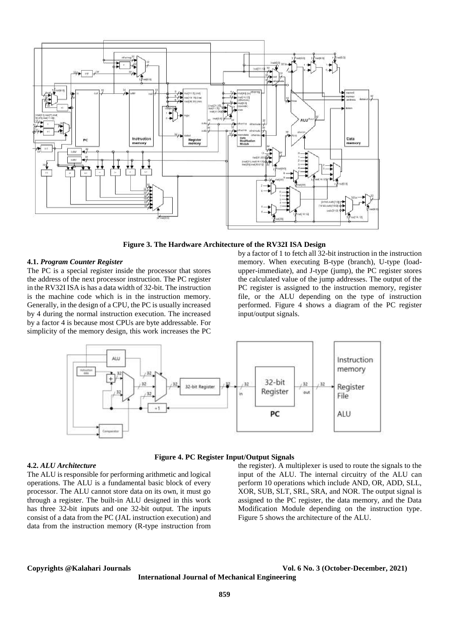

**Figure 3. The Hardware Architecture of the RV32I ISA Design**

### **4.1.** *Program Counter Register*

The PC is a special register inside the processor that stores the address of the next processor instruction. The PC register in the RV32I ISA is has a data width of 32-bit. The instruction is the machine code which is in the instruction memory. Generally, in the design of a CPU, the PC is usually increased by 4 during the normal instruction execution. The increased by a factor 4 is because most CPUs are byte addressable. For simplicity of the memory design, this work increases the PC

by a factor of 1 to fetch all 32-bit instruction in the instruction memory. When executing B-type (branch), U-type (loadupper-immediate), and J-type (jump), the PC register stores the calculated value of the jump addresses. The output of the PC register is assigned to the instruction memory, register file, or the ALU depending on the type of instruction performed. Figure 4 shows a diagram of the PC register input/output signals.



#### **4.2.** *ALU Architecture*

The ALU is responsible for performing arithmetic and logical operations. The ALU is a fundamental basic block of every processor. The ALU cannot store data on its own, it must go through a register. The built-in ALU designed in this work has three 32-bit inputs and one 32-bit output. The inputs consist of a data from the PC (JAL instruction execution) and data from the instruction memory (R-type instruction from

# **Figure 4. PC Register Input/Output Signals**

the register). A multiplexer is used to route the signals to the input of the ALU. The internal circuitry of the ALU can perform 10 operations which include AND, OR, ADD, SLL, XOR, SUB, SLT, SRL, SRA, and NOR. The output signal is assigned to the PC register, the data memory, and the Data Modification Module depending on the instruction type. Figure 5 shows the architecture of the ALU.

#### **Copyrights @Kalahari Journals Vol. 6 No. 3 (October-December, 2021)**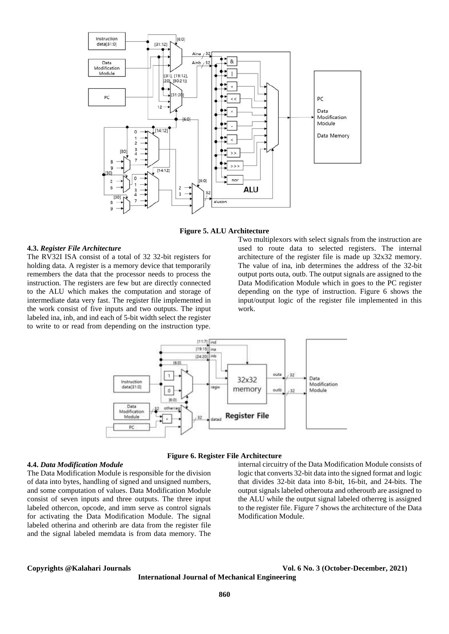

**Figure 5. ALU Architecture**

### **4.3.** *Register File Architecture*

The RV32I ISA consist of a total of 32 32-bit registers for holding data. A register is a memory device that temporarily remembers the data that the processor needs to process the instruction. The registers are few but are directly connected to the ALU which makes the computation and storage of intermediate data very fast. The register file implemented in the work consist of five inputs and two outputs. The input labeled ina, inb, and ind each of 5-bit width select the register to write to or read from depending on the instruction type.

Two multiplexors with select signals from the instruction are used to route data to selected registers. The internal architecture of the register file is made up 32x32 memory. The value of ina, inb determines the address of the 32-bit output ports outa, outb. The output signals are assigned to the Data Modification Module which in goes to the PC register depending on the type of instruction. Figure 6 shows the input/output logic of the register file implemented in this work.



**Figure 6. Register File Architecture**

**4.4.** *Data Modification Module*

The Data Modification Module is responsible for the division of data into bytes, handling of signed and unsigned numbers, and some computation of values. Data Modification Module consist of seven inputs and three outputs. The three input labeled othercon, opcode, and imm serve as control signals for activating the Data Modification Module. The signal labeled otherina and otherinb are data from the register file and the signal labeled memdata is from data memory. The

internal circuitry of the Data Modification Module consists of logic that converts 32-bit data into the signed format and logic that divides 32-bit data into 8-bit, 16-bit, and 24-bits. The output signals labeled otherouta and otheroutb are assigned to the ALU while the output signal labeled otherreg is assigned to the register file. Figure 7 shows the architecture of the Data Modification Module.

**Copyrights @Kalahari Journals Vol. 6 No. 3 (October-December, 2021)**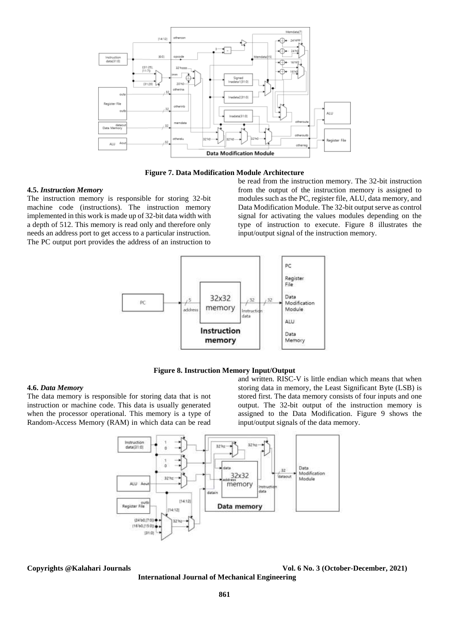

**Figure 7. Data Modification Module Architecture**

#### **4.5.** *Instruction Memory*

The instruction memory is responsible for storing 32-bit machine code (instructions). The instruction memory implemented in this work is made up of 32-bit data width with a depth of 512. This memory is read only and therefore only needs an address port to get access to a particular instruction. The PC output port provides the address of an instruction to

be read from the instruction memory. The 32-bit instruction from the output of the instruction memory is assigned to modules such as the PC, register file, ALU, data memory, and Data Modification Module. The 32-bit output serve as control signal for activating the values modules depending on the type of instruction to execute. Figure 8 illustrates the input/output signal of the instruction memory.



# **Figure 8. Instruction Memory Input/Output**

#### **4.6.** *Data Memory*

The data memory is responsible for storing data that is not instruction or machine code. This data is usually generated when the processor operational. This memory is a type of Random-Access Memory (RAM) in which data can be read

and written. RISC-V is little endian which means that when storing data in memory, the Least Significant Byte (LSB) is stored first. The data memory consists of four inputs and one output. The 32-bit output of the instruction memory is assigned to the Data Modification. Figure 9 shows the input/output signals of the data memory.



**Copyrights @Kalahari Journals Vol. 6 No. 3 (October-December, 2021) International Journal of Mechanical Engineering**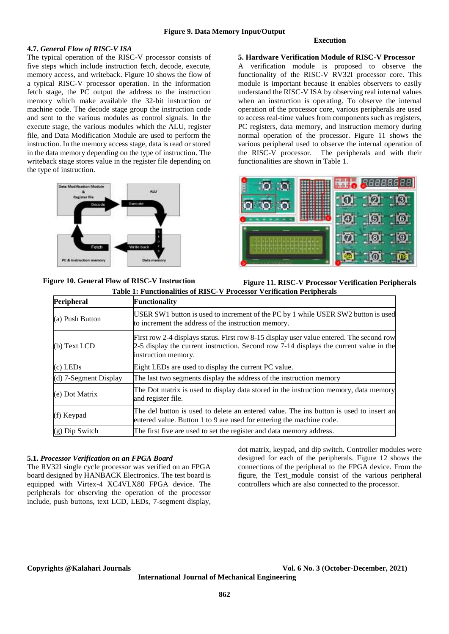### **4.7.** *General Flow of RISC-V ISA*

The typical operation of the RISC-V processor consists of five steps which include instruction fetch, decode, execute, memory access, and writeback. Figure 10 shows the flow of a typical RISC-V processor operation. In the information fetch stage, the PC output the address to the instruction memory which make available the 32-bit instruction or machine code. The decode stage group the instruction code and sent to the various modules as control signals. In the execute stage, the various modules which the ALU, register file, and Data Modification Module are used to perform the instruction. In the memory access stage, data is read or stored in the data memory depending on the type of instruction. The writeback stage stores value in the register file depending on the type of instruction.



**Figure 10. General Flow of RISC-V Instruction** 

#### **Execution**

# **5. Hardware Verification Module of RISC-V Processor**

A verification module is proposed to observe the functionality of the RISC-V RV32I processor core. This module is important because it enables observers to easily understand the RISC-V ISA by observing real internal values when an instruction is operating. To observe the internal operation of the processor core, various peripherals are used to access real-time values from components such as registers, PC registers, data memory, and instruction memory during normal operation of the processor. Figure 11 shows the various peripheral used to observe the internal operation of the RISC-V processor. The peripherals and with their functionalities are shown in Table 1.



**Figure 11. RISC-V Processor Verification Peripherals**

| Table 1: Functionalities of RISC-V Processor Verification Peripherals |                                                                                                                                                                                                           |  |  |  |  |
|-----------------------------------------------------------------------|-----------------------------------------------------------------------------------------------------------------------------------------------------------------------------------------------------------|--|--|--|--|
| Peripheral                                                            | <b>Functionality</b>                                                                                                                                                                                      |  |  |  |  |
| (a) Push Button                                                       | USER SW1 button is used to increment of the PC by 1 while USER SW2 button is used<br>to increment the address of the instruction memory.                                                                  |  |  |  |  |
| $(b)$ Text LCD                                                        | First row 2-4 displays status. First row 8-15 display user value entered. The second row<br>2-5 display the current instruction. Second row 7-14 displays the current value in the<br>instruction memory. |  |  |  |  |
| $(c)$ LEDs                                                            | Eight LEDs are used to display the current PC value.                                                                                                                                                      |  |  |  |  |
| $(d)$ 7-Segment Display                                               | The last two segments display the address of the instruction memory                                                                                                                                       |  |  |  |  |
| (e) Dot Matrix                                                        | The Dot matrix is used to display data stored in the instruction memory, data memory<br>and register file.                                                                                                |  |  |  |  |
| (f) Keypad                                                            | The del button is used to delete an entered value. The ins button is used to insert an<br>entered value. Button 1 to 9 are used for entering the machine code.                                            |  |  |  |  |
| $(g)$ Dip Switch                                                      | The first five are used to set the register and data memory address.                                                                                                                                      |  |  |  |  |

#### **5.1.** *Processor Verification on an FPGA Board*

The RV32I single cycle processor was verified on an FPGA board designed by HANBACK Electronics. The test board is equipped with Virtex-4 XC4VLX80 FPGA device. The peripherals for observing the operation of the processor include, push buttons, text LCD, LEDs, 7-segment display, dot matrix, keypad, and dip switch. Controller modules were designed for each of the peripherals. Figure 12 shows the connections of the peripheral to the FPGA device. From the figure, the Test\_module consist of the various peripheral controllers which are also connected to the processor.

**Copyrights @Kalahari Journals Vol. 6 No. 3 (October-December, 2021)**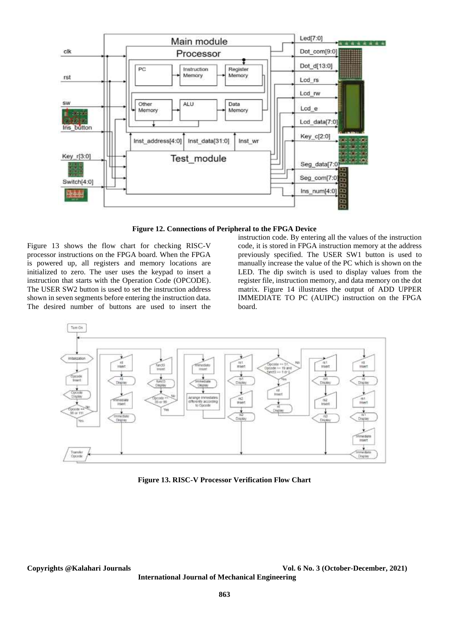

**Figure 12. Connections of Peripheral to the FPGA Device**

Figure 13 shows the flow chart for checking RISC-V processor instructions on the FPGA board. When the FPGA is powered up, all registers and memory locations are initialized to zero. The user uses the keypad to insert a instruction that starts with the Operation Code (OPCODE). The USER SW2 button is used to set the instruction address shown in seven segments before entering the instruction data. The desired number of buttons are used to insert the

instruction code. By entering all the values of the instruction code, it is stored in FPGA instruction memory at the address previously specified. The USER SW1 button is used to manually increase the value of the PC which is shown on the LED. The dip switch is used to display values from the register file, instruction memory, and data memory on the dot matrix. Figure 14 illustrates the output of ADD UPPER IMMEDIATE TO PC (AUIPC) instruction on the FPGA board.



**Figure 13. RISC-V Processor Verification Flow Chart**

**Copyrights @Kalahari Journals Vol. 6 No. 3 (October-December, 2021) International Journal of Mechanical Engineering**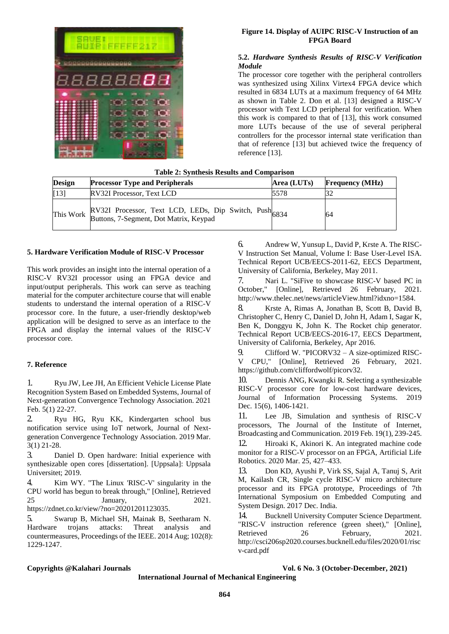

# **Figure 14. Display of AUIPC RISC-V Instruction of an FPGA Board**

# **5.2.** *Hardware Synthesis Results of RISC-V Verification Module*

The processor core together with the peripheral controllers was synthesized using Xilinx Virtex4 FPGA device which resulted in 6834 LUTs at a maximum frequency of 64 MHz as shown in Table 2. Don et al. [13] designed a RISC-V processor with Text LCD peripheral for verification. When this work is compared to that of [13], this work consumed more LUTs because of the use of several peripheral controllers for the processor internal state verification than that of reference [13] but achieved twice the frequency of reference [13].

# **Table 2: Synthesis Results and Comparison**

| Design | <b>Processor Type and Peripherals</b>                            | Area (LUTs) | <b>Frequency</b> (MHz) |
|--------|------------------------------------------------------------------|-------------|------------------------|
| $[13]$ | RV32I Processor, Text LCD                                        | 5578        |                        |
|        | This Work RV32I Processor, Text LCD, LEDs, Dip Switch, Push 6834 |             | 64                     |

# **5. Hardware Verification Module of RISC-V Processor**

This work provides an insight into the internal operation of a RISC-V RV32I processor using an FPGA device and input/output peripherals. This work can serve as teaching material for the computer architecture course that will enable students to understand the internal operation of a RISC-V processor core. In the future, a user-friendly desktop/web application will be designed to serve as an interface to the FPGA and display the internal values of the RISC-V processor core.

# **7. Reference**

1. Ryu JW, Lee JH, An Efficient Vehicle License Plate Recognition System Based on Embedded Systems, Journal of Next-generation Convergence Technology Association. 2021 Feb. 5(1) 22-27.

2. Ryu HG, Ryu KK, Kindergarten school bus notification service using IoT network, Journal of Nextgeneration Convergence Technology Association. 2019 Mar. 3(1) 21-28.

3. Daniel D. Open hardware: Initial experience with synthesizable open cores [dissertation]. [Uppsala]: Uppsala Universitet; 2019.

4. Kim WY. "The Linux 'RISC-V' singularity in the CPU world has begun to break through," [Online], Retrieved 25 January, 2021. https://zdnet.co.kr/view/?no=20201201123035.

5. Swarup B, Michael SH, Mainak B, Seetharam N. Hardware trojans attacks: Threat analysis and countermeasures, Proceedings of the IEEE. 2014 Aug; 102(8): 1229-1247.

6. Andrew W, Yunsup L, David P, Krste A. The RISC-V Instruction Set Manual, Volume I: Base User-Level ISA. Technical Report UCB/EECS-2011-62, EECS Department, University of California, Berkeley, May 2011.

7. Nari L. "SiFive to showcase RISC-V based PC in October." [Online]. Retrieved 26 February. 2021. [Online], Retrieved 26 February, 2021. http://www.thelec.net/news/articleView.html?idxno=1584.

8. Krste A, Rimas A, Jonathan B, Scott B, David B, Christopher C, Henry C, Daniel D, John H, Adam I, Sagar K, Ben K, Donggyu K, John K. The Rocket chip generator. Technical Report UCB/EECS-2016-17, EECS Department, University of California, Berkeley, Apr 2016.

9. Clifford W. "PICORV32 – A size-optimized RISC-<br>V CPU." [Online]. Retrieved 26 February. 2021. CPU," [Online], Retrieved 26 February, 2021. https://github.com/cliffordwolf/picorv32.

10. Dennis ANG, Kwangki R. Selecting a synthesizable RISC-V processor core for low-cost hardware devices, Journal of Information Processing Systems. 2019 Dec. 15(6), 1406-1421.

11. Lee JB, Simulation and synthesis of RISC-V processors, The Journal of the Institute of Internet, Broadcasting and Communication. 2019 Feb. 19(1), 239-245.

12. Hiroaki K, Akinori K. An integrated machine code monitor for a RISC-V processor on an FPGA, Artificial Life Robotics. 2020 Mar. 25, 427–433.

13. Don KD, Ayushi P, Virk SS, Sajal A, Tanuj S, Arit M, Kailash CR, Single cycle RISC-V micro architecture processor and its FPGA prototype, Proceedings of 7th International Symposium on Embedded Computing and System Design. 2017 Dec. India.

14. Bucknell University Computer Science Department. "RISC-V instruction reference (green sheet)," [Online], Retrieved 26 February, 2021. http://csci206sp2020.courses.bucknell.edu/files/2020/01/risc v-card.pdf

#### **Copyrights @Kalahari Journals Vol. 6 No. 3 (October-December, 2021)**